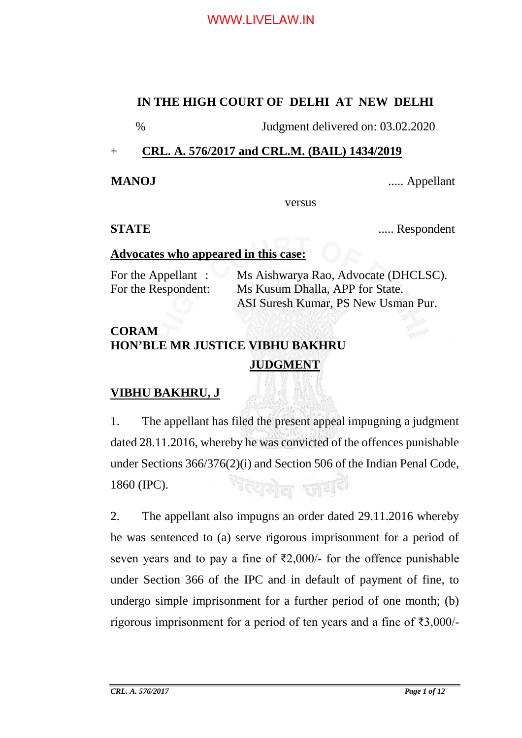#### **IN THE HIGH COURT OF DELHI AT NEW DELHI**

% Judgment delivered on: 03.02.2020

### + **CRL. A. 576/2017 and CRL.M. (BAIL) 1434/2019**

**MANOJ** ..... Appellant

versus

**STATE** ...... Respondent

#### **Advocates who appeared in this case:**

For the Appellant : Ms Aishwarya Rao, Advocate (DHCLSC). For the Respondent: Ms Kusum Dhalla, APP for State. ASI Suresh Kumar, PS New Usman Pur.

# **CORAM HON'BLE MR JUSTICE VIBHU BAKHRU JUDGMENT**

# **VIBHU BAKHRU, J**

1. The appellant has filed the present appeal impugning a judgment dated 28.11.2016, whereby he was convicted of the offences punishable under Sections 366/376(2)(i) and Section 506 of the Indian Penal Code, <sup>াহ্</sup>যনীল ভা<sup>ত্ৰাক</sup> 1860 (IPC).

2. The appellant also impugns an order dated 29.11.2016 whereby he was sentenced to (a) serve rigorous imprisonment for a period of seven years and to pay a fine of  $\bar{\xi}2,000/$ - for the offence punishable under Section 366 of the IPC and in default of payment of fine, to undergo simple imprisonment for a further period of one month; (b) rigorous imprisonment for a period of ten years and a fine of ₹3,000/-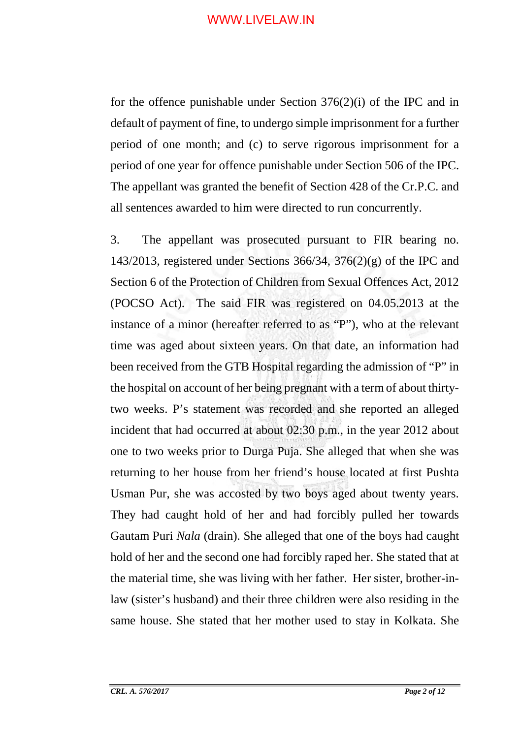for the offence punishable under Section 376(2)(i) of the IPC and in default of payment of fine, to undergo simple imprisonment for a further period of one month; and (c) to serve rigorous imprisonment for a period of one year for offence punishable under Section 506 of the IPC. The appellant was granted the benefit of Section 428 of the Cr.P.C. and all sentences awarded to him were directed to run concurrently.

3. The appellant was prosecuted pursuant to FIR bearing no. 143/2013, registered under Sections 366/34, 376 $(2)(g)$  of the IPC and Section 6 of the Protection of Children from Sexual Offences Act, 2012 (POCSO Act). The said FIR was registered on 04.05.2013 at the instance of a minor (hereafter referred to as "P"), who at the relevant time was aged about sixteen years. On that date, an information had been received from the GTB Hospital regarding the admission of "P" in the hospital on account of her being pregnant with a term of about thirtytwo weeks. P's statement was recorded and she reported an alleged incident that had occurred at about 02:30 p.m., in the year 2012 about one to two weeks prior to Durga Puja. She alleged that when she was returning to her house from her friend's house located at first Pushta Usman Pur, she was accosted by two boys aged about twenty years. They had caught hold of her and had forcibly pulled her towards Gautam Puri *Nala* (drain). She alleged that one of the boys had caught hold of her and the second one had forcibly raped her. She stated that at the material time, she was living with her father. Her sister, brother-inlaw (sister's husband) and their three children were also residing in the same house. She stated that her mother used to stay in Kolkata. She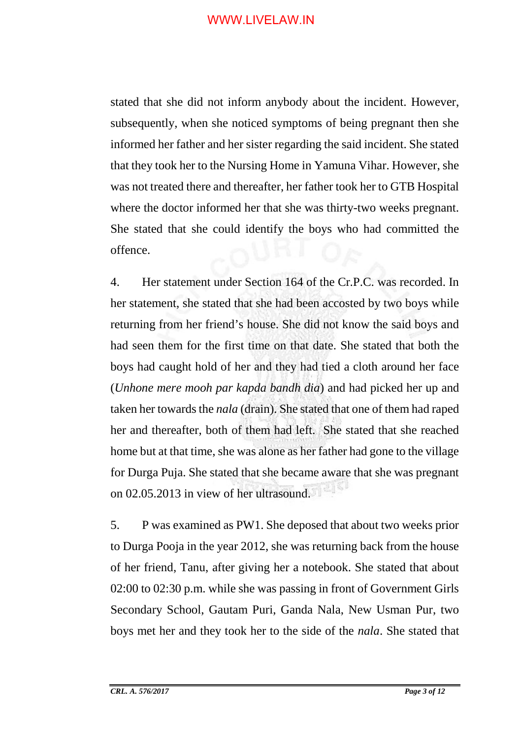stated that she did not inform anybody about the incident. However, subsequently, when she noticed symptoms of being pregnant then she informed her father and her sister regarding the said incident. She stated that they took her to the Nursing Home in Yamuna Vihar. However, she was not treated there and thereafter, her father took her to GTB Hospital where the doctor informed her that she was thirty-two weeks pregnant. She stated that she could identify the boys who had committed the offence.

4. Her statement under Section 164 of the Cr.P.C. was recorded. In her statement, she stated that she had been accosted by two boys while returning from her friend's house. She did not know the said boys and had seen them for the first time on that date. She stated that both the boys had caught hold of her and they had tied a cloth around her face (*Unhone mere mooh par kapda bandh dia*) and had picked her up and taken her towards the *nala* (drain). She stated that one of them had raped her and thereafter, both of them had left. She stated that she reached home but at that time, she was alone as her father had gone to the village for Durga Puja. She stated that she became aware that she was pregnant on 02.05.2013 in view of her ultrasound.

5. P was examined as PW1. She deposed that about two weeks prior to Durga Pooja in the year 2012, she was returning back from the house of her friend, Tanu, after giving her a notebook. She stated that about 02:00 to 02:30 p.m. while she was passing in front of Government Girls Secondary School, Gautam Puri, Ganda Nala, New Usman Pur, two boys met her and they took her to the side of the *nala*. She stated that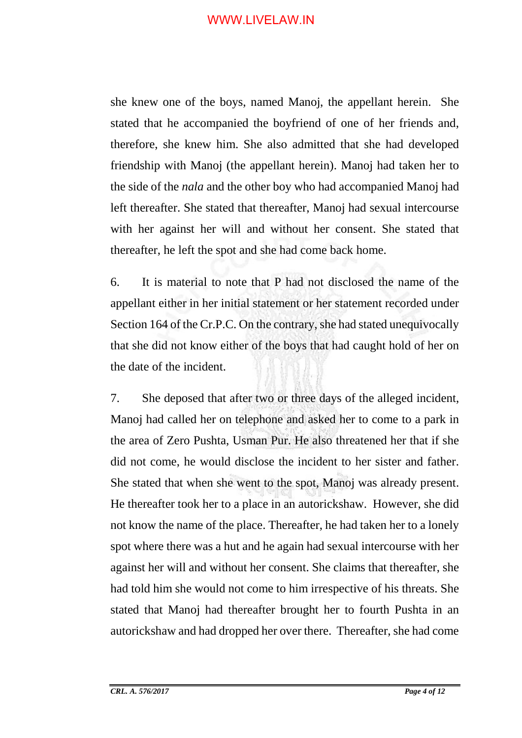she knew one of the boys, named Manoj, the appellant herein. She stated that he accompanied the boyfriend of one of her friends and, therefore, she knew him. She also admitted that she had developed friendship with Manoj (the appellant herein). Manoj had taken her to the side of the *nala* and the other boy who had accompanied Manoj had left thereafter. She stated that thereafter, Manoj had sexual intercourse with her against her will and without her consent. She stated that thereafter, he left the spot and she had come back home.

6. It is material to note that P had not disclosed the name of the appellant either in her initial statement or her statement recorded under Section 164 of the Cr.P.C. On the contrary, she had stated unequivocally that she did not know either of the boys that had caught hold of her on the date of the incident.

7. She deposed that after two or three days of the alleged incident, Manoj had called her on telephone and asked her to come to a park in the area of Zero Pushta, Usman Pur. He also threatened her that if she did not come, he would disclose the incident to her sister and father. She stated that when she went to the spot, Manoj was already present. He thereafter took her to a place in an autorickshaw. However, she did not know the name of the place. Thereafter, he had taken her to a lonely spot where there was a hut and he again had sexual intercourse with her against her will and without her consent. She claims that thereafter, she had told him she would not come to him irrespective of his threats. She stated that Manoj had thereafter brought her to fourth Pushta in an autorickshaw and had dropped her over there. Thereafter, she had come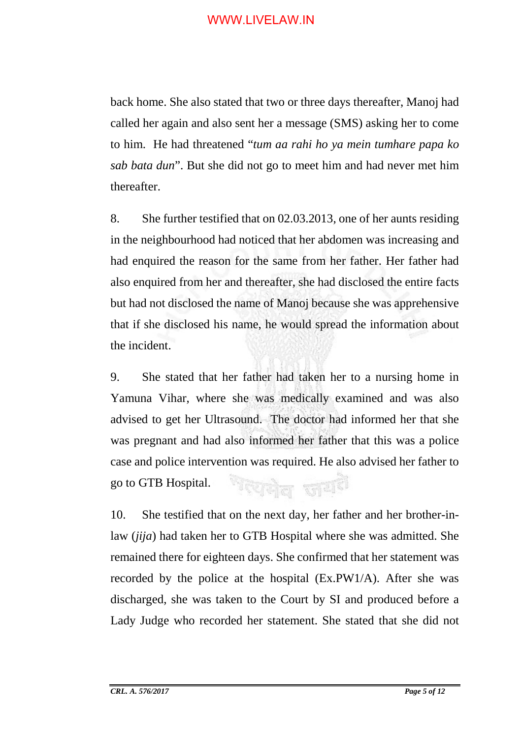back home. She also stated that two or three days thereafter, Manoj had called her again and also sent her a message (SMS) asking her to come to him. He had threatened "*tum aa rahi ho ya mein tumhare papa ko sab bata dun*". But she did not go to meet him and had never met him thereafter.

8. She further testified that on 02.03.2013, one of her aunts residing in the neighbourhood had noticed that her abdomen was increasing and had enquired the reason for the same from her father. Her father had also enquired from her and thereafter, she had disclosed the entire facts but had not disclosed the name of Manoj because she was apprehensive that if she disclosed his name, he would spread the information about the incident.

9. She stated that her father had taken her to a nursing home in Yamuna Vihar, where she was medically examined and was also advised to get her Ultrasound. The doctor had informed her that she was pregnant and had also informed her father that this was a police case and police intervention was required. He also advised her father to <sup>জ</sup>যোগল জয<sup>8</sup> go to GTB Hospital.

10. She testified that on the next day, her father and her brother-inlaw (*jija*) had taken her to GTB Hospital where she was admitted. She remained there for eighteen days. She confirmed that her statement was recorded by the police at the hospital (Ex.PW1/A). After she was discharged, she was taken to the Court by SI and produced before a Lady Judge who recorded her statement. She stated that she did not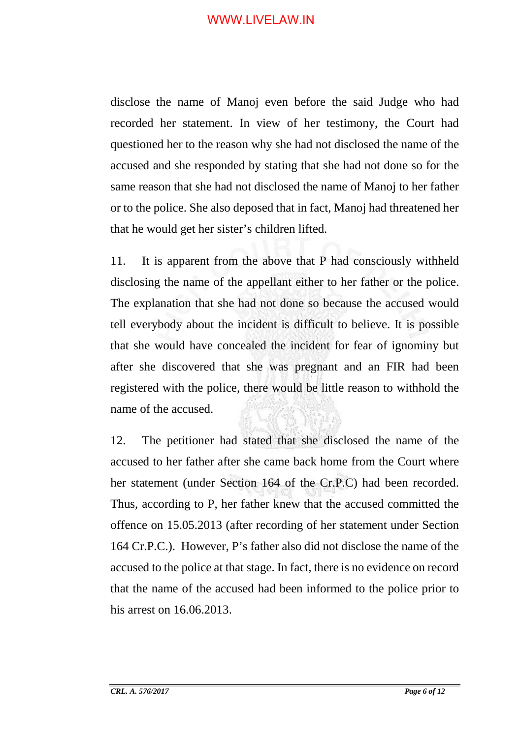disclose the name of Manoj even before the said Judge who had recorded her statement. In view of her testimony, the Court had questioned her to the reason why she had not disclosed the name of the accused and she responded by stating that she had not done so for the same reason that she had not disclosed the name of Manoj to her father or to the police. She also deposed that in fact, Manoj had threatened her that he would get her sister's children lifted.

11. It is apparent from the above that P had consciously withheld disclosing the name of the appellant either to her father or the police. The explanation that she had not done so because the accused would tell everybody about the incident is difficult to believe. It is possible that she would have concealed the incident for fear of ignominy but after she discovered that she was pregnant and an FIR had been registered with the police, there would be little reason to withhold the name of the accused.

12. The petitioner had stated that she disclosed the name of the accused to her father after she came back home from the Court where her statement (under Section 164 of the Cr.P.C) had been recorded. Thus, according to P, her father knew that the accused committed the offence on 15.05.2013 (after recording of her statement under Section 164 Cr.P.C.). However, P's father also did not disclose the name of the accused to the police at that stage. In fact, there is no evidence on record that the name of the accused had been informed to the police prior to his arrest on 16.06.2013.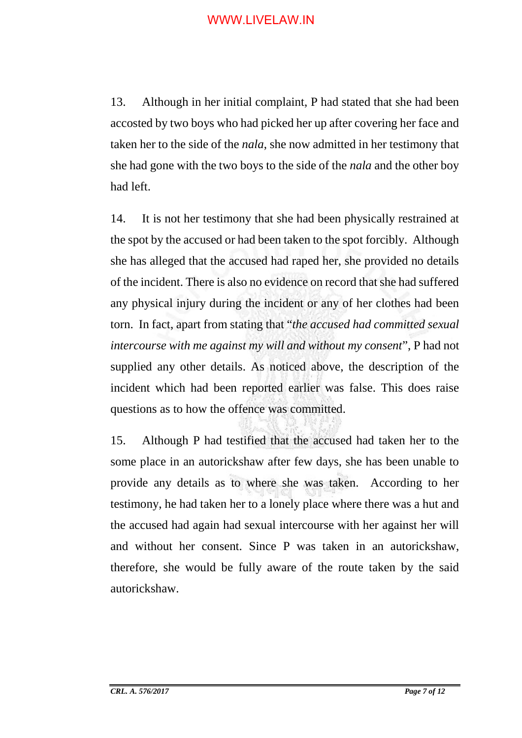13. Although in her initial complaint, P had stated that she had been accosted by two boys who had picked her up after covering her face and taken her to the side of the *nala*, she now admitted in her testimony that she had gone with the two boys to the side of the *nala* and the other boy had left.

14. It is not her testimony that she had been physically restrained at the spot by the accused or had been taken to the spot forcibly. Although she has alleged that the accused had raped her, she provided no details of the incident. There is also no evidence on record that she had suffered any physical injury during the incident or any of her clothes had been torn. In fact, apart from stating that "*the accused had committed sexual intercourse with me against my will and without my consent*", P had not supplied any other details. As noticed above, the description of the incident which had been reported earlier was false. This does raise questions as to how the offence was committed.

15. Although P had testified that the accused had taken her to the some place in an autorickshaw after few days, she has been unable to provide any details as to where she was taken. According to her testimony, he had taken her to a lonely place where there was a hut and the accused had again had sexual intercourse with her against her will and without her consent. Since P was taken in an autorickshaw, therefore, she would be fully aware of the route taken by the said autorickshaw.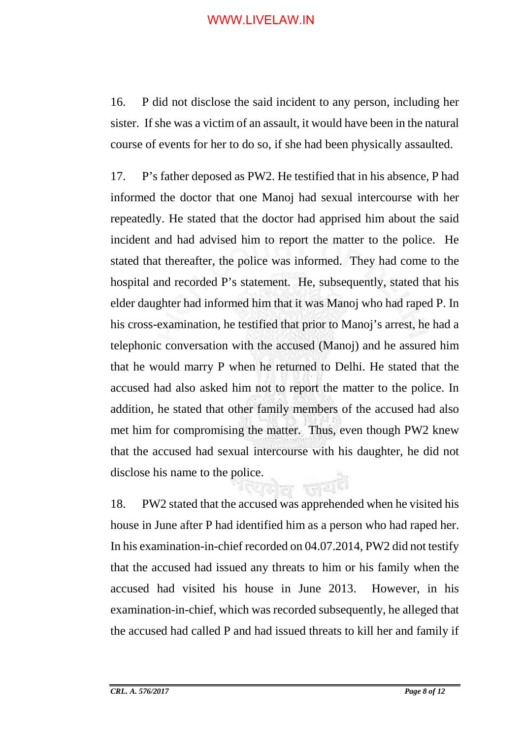16. P did not disclose the said incident to any person, including her sister. If she was a victim of an assault, it would have been in the natural course of events for her to do so, if she had been physically assaulted.

17. P's father deposed as PW2. He testified that in his absence, P had informed the doctor that one Manoj had sexual intercourse with her repeatedly. He stated that the doctor had apprised him about the said incident and had advised him to report the matter to the police. He stated that thereafter, the police was informed. They had come to the hospital and recorded P's statement. He, subsequently, stated that his elder daughter had informed him that it was Manoj who had raped P. In his cross-examination, he testified that prior to Manoj's arrest, he had a telephonic conversation with the accused (Manoj) and he assured him that he would marry P when he returned to Delhi. He stated that the accused had also asked him not to report the matter to the police. In addition, he stated that other family members of the accused had also met him for compromising the matter. Thus, even though PW2 knew that the accused had sexual intercourse with his daughter, he did not disclose his name to the police.

18. PW2 stated that the accused was apprehended when he visited his house in June after P had identified him as a person who had raped her. In his examination-in-chief recorded on 04.07.2014, PW2 did not testify that the accused had issued any threats to him or his family when the accused had visited his house in June 2013. However, in his examination-in-chief, which was recorded subsequently, he alleged that the accused had called P and had issued threats to kill her and family if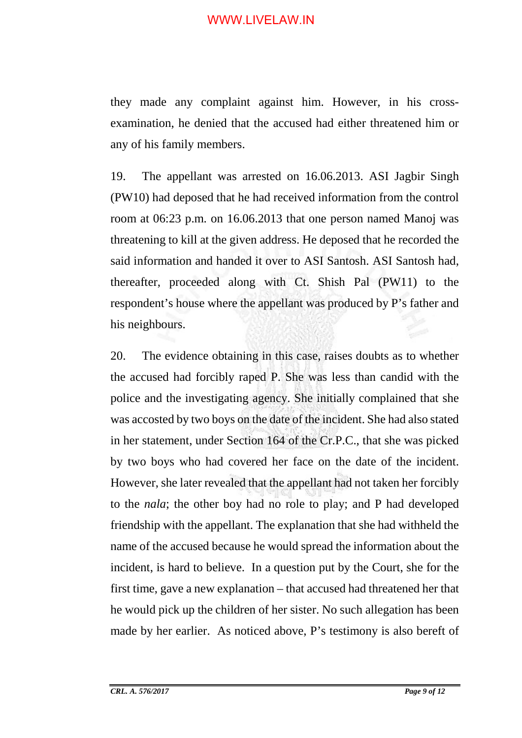they made any complaint against him. However, in his crossexamination, he denied that the accused had either threatened him or any of his family members.

19. The appellant was arrested on 16.06.2013. ASI Jagbir Singh (PW10) had deposed that he had received information from the control room at 06:23 p.m. on 16.06.2013 that one person named Manoj was threatening to kill at the given address. He deposed that he recorded the said information and handed it over to ASI Santosh. ASI Santosh had, thereafter, proceeded along with Ct. Shish Pal (PW11) to the respondent's house where the appellant was produced by P's father and his neighbours.

20. The evidence obtaining in this case, raises doubts as to whether the accused had forcibly raped P. She was less than candid with the police and the investigating agency. She initially complained that she was accosted by two boys on the date of the incident. She had also stated in her statement, under Section 164 of the Cr.P.C., that she was picked by two boys who had covered her face on the date of the incident. However, she later revealed that the appellant had not taken her forcibly to the *nala*; the other boy had no role to play; and P had developed friendship with the appellant. The explanation that she had withheld the name of the accused because he would spread the information about the incident, is hard to believe. In a question put by the Court, she for the first time, gave a new explanation – that accused had threatened her that he would pick up the children of her sister. No such allegation has been made by her earlier. As noticed above, P's testimony is also bereft of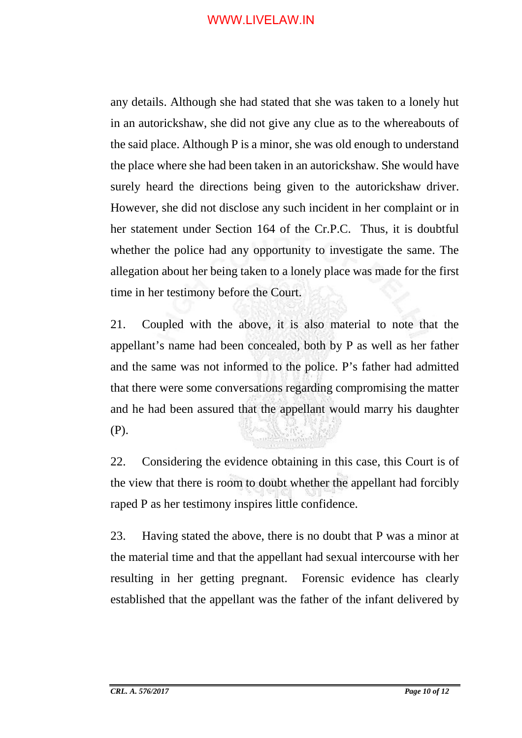any details. Although she had stated that she was taken to a lonely hut in an autorickshaw, she did not give any clue as to the whereabouts of the said place. Although P is a minor, she was old enough to understand the place where she had been taken in an autorickshaw. She would have surely heard the directions being given to the autorickshaw driver. However, she did not disclose any such incident in her complaint or in her statement under Section 164 of the Cr.P.C. Thus, it is doubtful whether the police had any opportunity to investigate the same. The allegation about her being taken to a lonely place was made for the first time in her testimony before the Court.

21. Coupled with the above, it is also material to note that the appellant's name had been concealed, both by P as well as her father and the same was not informed to the police. P's father had admitted that there were some conversations regarding compromising the matter and he had been assured that the appellant would marry his daughter (P).

22. Considering the evidence obtaining in this case, this Court is of the view that there is room to doubt whether the appellant had forcibly raped P as her testimony inspires little confidence.

23. Having stated the above, there is no doubt that P was a minor at the material time and that the appellant had sexual intercourse with her resulting in her getting pregnant. Forensic evidence has clearly established that the appellant was the father of the infant delivered by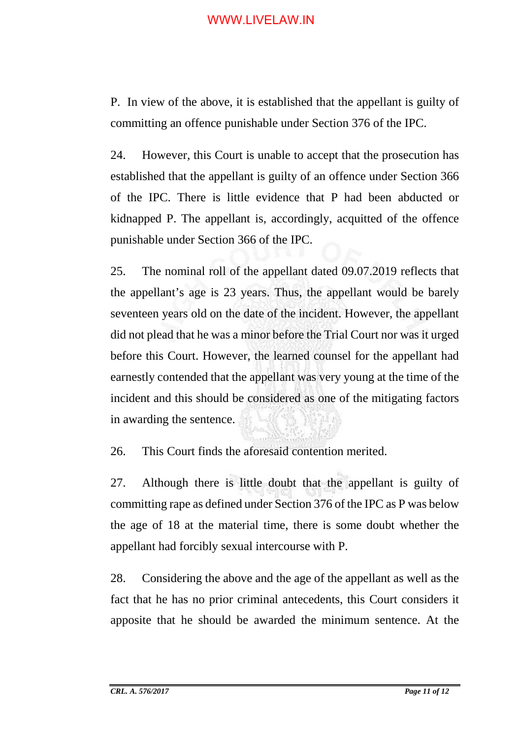P. In view of the above, it is established that the appellant is guilty of committing an offence punishable under Section 376 of the IPC.

24. However, this Court is unable to accept that the prosecution has established that the appellant is guilty of an offence under Section 366 of the IPC. There is little evidence that P had been abducted or kidnapped P. The appellant is, accordingly, acquitted of the offence punishable under Section 366 of the IPC.

25. The nominal roll of the appellant dated 09.07.2019 reflects that the appellant's age is 23 years. Thus, the appellant would be barely seventeen years old on the date of the incident. However, the appellant did not plead that he was a minor before the Trial Court nor was it urged before this Court. However, the learned counsel for the appellant had earnestly contended that the appellant was very young at the time of the incident and this should be considered as one of the mitigating factors in awarding the sentence.

26. This Court finds the aforesaid contention merited.

27. Although there is little doubt that the appellant is guilty of committing rape as defined under Section 376 of the IPC as P was below the age of 18 at the material time, there is some doubt whether the appellant had forcibly sexual intercourse with P.

28. Considering the above and the age of the appellant as well as the fact that he has no prior criminal antecedents, this Court considers it apposite that he should be awarded the minimum sentence. At the